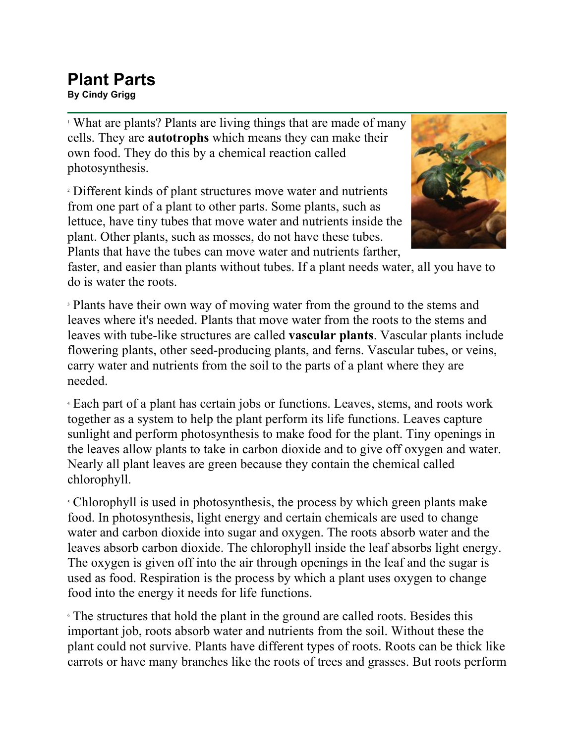## **Plant Parts By Cindy Grigg**

<sup>1</sup> What are plants? Plants are living things that are made of many cells. They are **autotrophs** which means they can make their own food. They do this by a chemical reaction called photosynthesis.

<sup>2</sup> Different kinds of plant structures move water and nutrients from one part of a plant to other parts. Some plants, such as lettuce, have tiny tubes that move water and nutrients inside the plant. Other plants, such as mosses, do not have these tubes. Plants that have the tubes can move water and nutrients farther,



faster, and easier than plants without tubes. If a plant needs water, all you have to do is water the roots.

<sup>3</sup> Plants have their own way of moving water from the ground to the stems and leaves where it's needed. Plants that move water from the roots to the stems and leaves with tube-like structures are called **vascular plants**. Vascular plants include flowering plants, other seed-producing plants, and ferns. Vascular tubes, or veins, carry water and nutrients from the soil to the parts of a plant where they are needed.

<sup>4</sup> Each part of a plant has certain jobs or functions. Leaves, stems, and roots work together as a system to help the plant perform its life functions. Leaves capture sunlight and perform photosynthesis to make food for the plant. Tiny openings in the leaves allow plants to take in carbon dioxide and to give off oxygen and water. Nearly all plant leaves are green because they contain the chemical called chlorophyll.

<sup>5</sup> Chlorophyll is used in photosynthesis, the process by which green plants make food. In photosynthesis, light energy and certain chemicals are used to change water and carbon dioxide into sugar and oxygen. The roots absorb water and the leaves absorb carbon dioxide. The chlorophyll inside the leaf absorbs light energy. The oxygen is given off into the air through openings in the leaf and the sugar is used as food. Respiration is the process by which a plant uses oxygen to change food into the energy it needs for life functions.

<sup>6</sup> The structures that hold the plant in the ground are called roots. Besides this important job, roots absorb water and nutrients from the soil. Without these the plant could not survive. Plants have different types of roots. Roots can be thick like carrots or have many branches like the roots of trees and grasses. But roots perform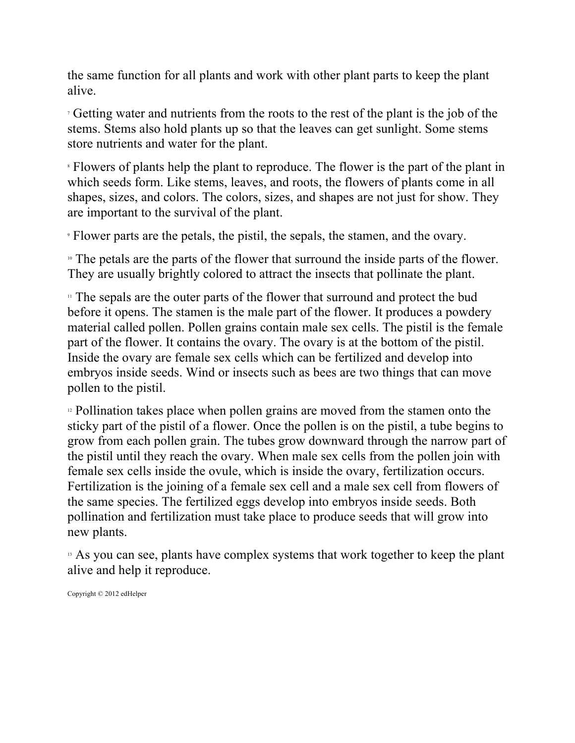the same function for all plants and work with other plant parts to keep the plant alive.

<sup>7</sup> Getting water and nutrients from the roots to the rest of the plant is the job of the stems. Stems also hold plants up so that the leaves can get sunlight. Some stems store nutrients and water for the plant.

<sup>8</sup> Flowers of plants help the plant to reproduce. The flower is the part of the plant in which seeds form. Like stems, leaves, and roots, the flowers of plants come in all shapes, sizes, and colors. The colors, sizes, and shapes are not just for show. They are important to the survival of the plant.

<sup>9</sup> Flower parts are the petals, the pistil, the sepals, the stamen, and the ovary.

<sup>10</sup> The petals are the parts of the flower that surround the inside parts of the flower. They are usually brightly colored to attract the insects that pollinate the plant.

<sup>11</sup> The sepals are the outer parts of the flower that surround and protect the bud before it opens. The stamen is the male part of the flower. It produces a powdery material called pollen. Pollen grains contain male sex cells. The pistil is the female part of the flower. It contains the ovary. The ovary is at the bottom of the pistil. Inside the ovary are female sex cells which can be fertilized and develop into embryos inside seeds. Wind or insects such as bees are two things that can move pollen to the pistil.

<sup>12</sup> Pollination takes place when pollen grains are moved from the stamen onto the sticky part of the pistil of a flower. Once the pollen is on the pistil, a tube begins to grow from each pollen grain. The tubes grow downward through the narrow part of the pistil until they reach the ovary. When male sex cells from the pollen join with female sex cells inside the ovule, which is inside the ovary, fertilization occurs. Fertilization is the joining of a female sex cell and a male sex cell from flowers of the same species. The fertilized eggs develop into embryos inside seeds. Both pollination and fertilization must take place to produce seeds that will grow into new plants.

<sup>13</sup> As you can see, plants have complex systems that work together to keep the plant alive and help it reproduce.

Copyright © 2012 edHelper